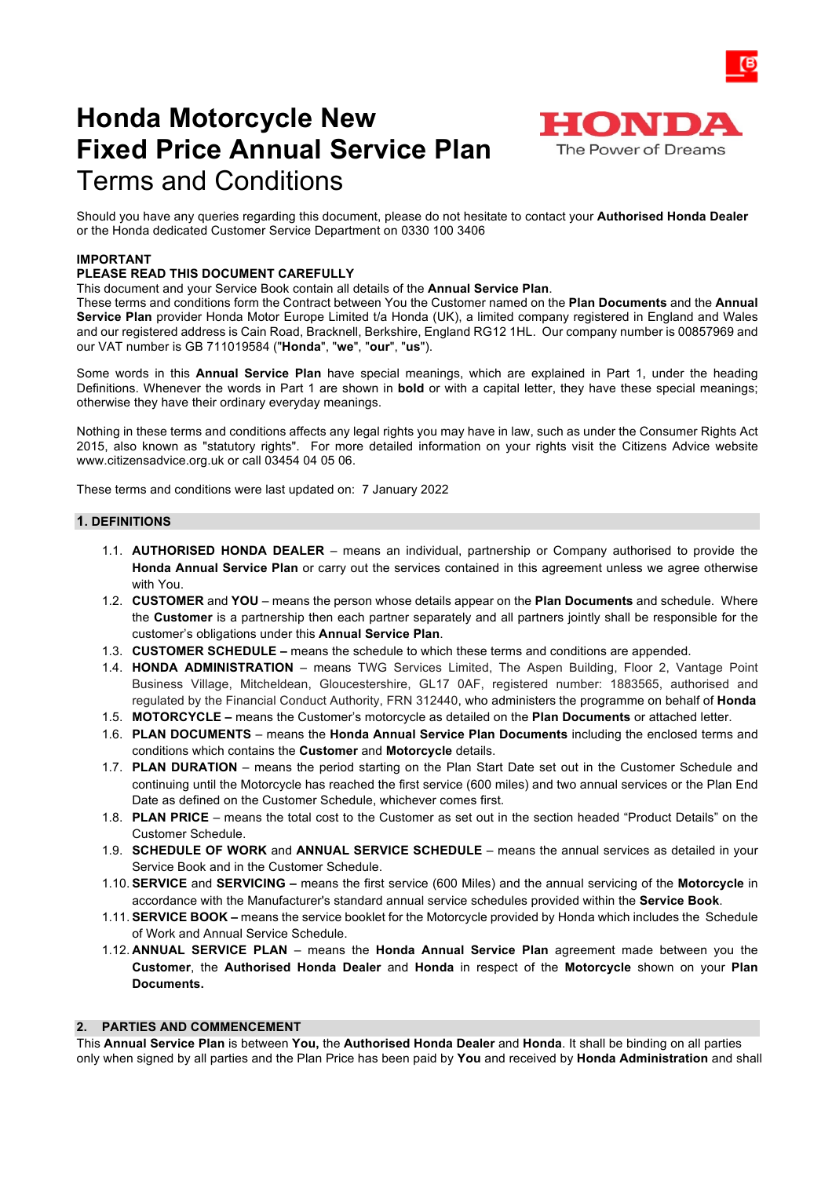

# **Honda Motorcycle New Fixed Price Annual Service Plan** Terms and Conditions

Should you have any queries regarding this document, please do not hesitate to contact your **Authorised Honda Dealer** or the Honda dedicated Customer Service Department on 0330 100 3406

## **IMPORTANT**

# **PLEASE READ THIS DOCUMENT CAREFULLY**

#### This document and your Service Book contain all details of the **Annual Service Plan**.

These terms and conditions form the Contract between You the Customer named on the **Plan Documents** and the **Annual Service Plan** provider Honda Motor Europe Limited t/a Honda (UK), a limited company registered in England and Wales and our registered address is Cain Road, Bracknell, Berkshire, England RG12 1HL. Our company number is 00857969 and our VAT number is GB 711019584 ("**Honda**", "**we**", "**our**", "**us**").

Some words in this **Annual Service Plan** have special meanings, which are explained in Part 1, under the heading Definitions. Whenever the words in Part 1 are shown in **bold** or with a capital letter, they have these special meanings; otherwise they have their ordinary everyday meanings.

Nothing in these terms and conditions affects any legal rights you may have in law, such as under the Consumer Rights Act 2015, also known as "statutory rights". For more detailed information on your rights visit the Citizens Advice website www.citizensadvice.org.uk or call 03454 04 05 06.

These terms and conditions were last updated on: 7 January 2022

#### **1. DEFINITIONS**

- 1.1. **AUTHORISED HONDA DEALER** means an individual, partnership or Company authorised to provide the **Honda Annual Service Plan** or carry out the services contained in this agreement unless we agree otherwise with You.
- 1.2. **CUSTOMER** and **YOU**  means the person whose details appear on the **Plan Documents** and schedule. Where the **Customer** is a partnership then each partner separately and all partners jointly shall be responsible for the customer's obligations under this **Annual Service Plan**.
- 1.3. **CUSTOMER SCHEDULE –** means the schedule to which these terms and conditions are appended.
- 1.4. **HONDA ADMINISTRATION**  means TWG Services Limited, The Aspen Building, Floor 2, Vantage Point Business Village, Mitcheldean, Gloucestershire, GL17 0AF, registered number: 1883565, authorised and regulated by the Financial Conduct Authority, FRN 312440, who administers the programme on behalf of **Honda**
- 1.5. **MOTORCYCLE –** means the Customer's motorcycle as detailed on the **Plan Documents** or attached letter.
- 1.6. **PLAN DOCUMENTS**  means the **Honda Annual Service Plan Documents** including the enclosed terms and conditions which contains the **Customer** and **Motorcycle** details.
- 1.7. **PLAN DURATION** means the period starting on the Plan Start Date set out in the Customer Schedule and continuing until the Motorcycle has reached the first service (600 miles) and two annual services or the Plan End Date as defined on the Customer Schedule, whichever comes first.
- 1.8. **PLAN PRICE** means the total cost to the Customer as set out in the section headed "Product Details" on the Customer Schedule.
- 1.9. **SCHEDULE OF WORK** and **ANNUAL SERVICE SCHEDULE** means the annual services as detailed in your Service Book and in the Customer Schedule.
- 1.10. **SERVICE** and **SERVICING –** means the first service (600 Miles) and the annual servicing of the **Motorcycle** in accordance with the Manufacturer's standard annual service schedules provided within the **Service Book**.
- 1.11. **SERVICE BOOK –** means the service booklet for the Motorcycle provided by Honda which includes the Schedule of Work and Annual Service Schedule.
- 1.12. **ANNUAL SERVICE PLAN** means the **Honda Annual Service Plan** agreement made between you the **Customer**, the **Authorised Honda Dealer** and **Honda** in respect of the **Motorcycle** shown on your **Plan Documents.**

#### **2. PARTIES AND COMMENCEMENT**

This **Annual Service Plan** is between **You,** the **Authorised Honda Dealer** and **Honda**. It shall be binding on all parties only when signed by all parties and the Plan Price has been paid by **You** and received by **Honda Administration** and shall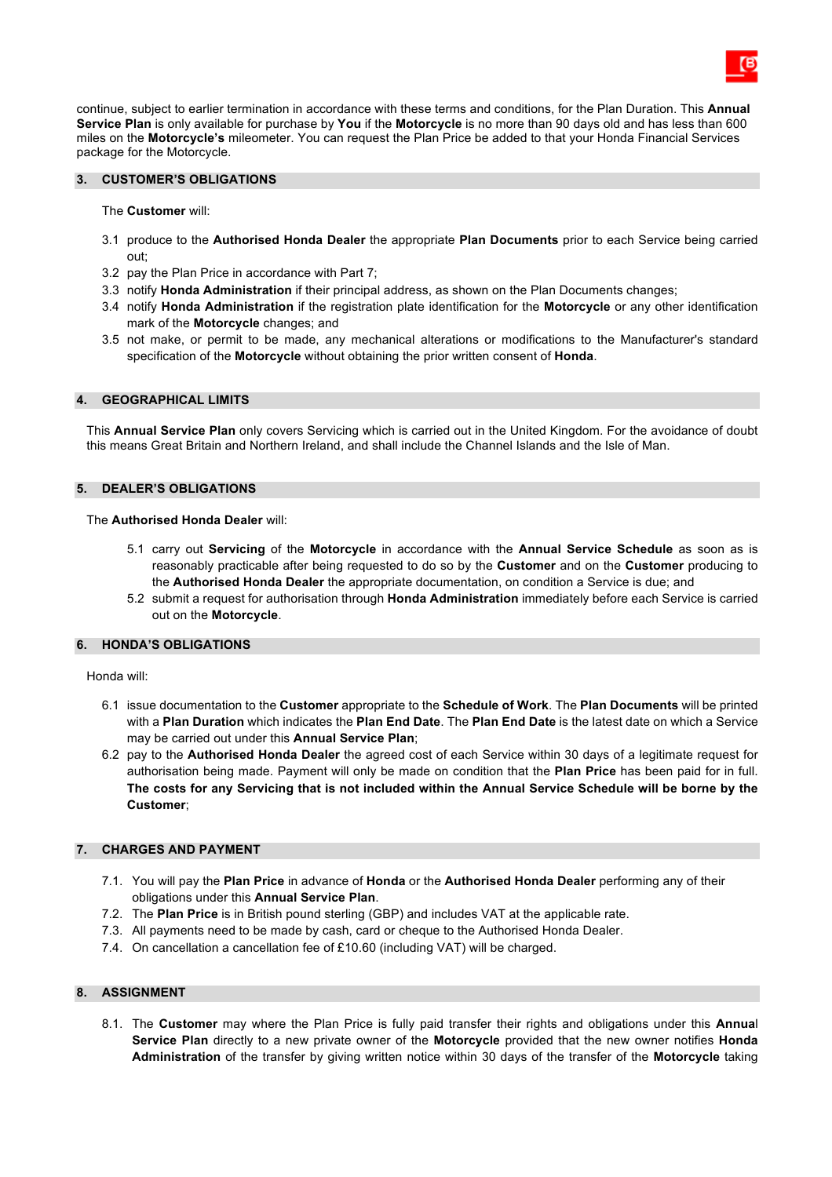continue, subject to earlier termination in accordance with these terms and conditions, for the Plan Duration. This **Annual Service Plan** is only available for purchase by **You** if the **Motorcycle** is no more than 90 days old and has less than 600 miles on the **Motorcycle's** mileometer. You can request the Plan Price be added to that your Honda Financial Services package for the Motorcycle.

#### **3. CUSTOMER'S OBLIGATIONS**

The **Customer** will:

- 3.1 produce to the **Authorised Honda Dealer** the appropriate **Plan Documents** prior to each Service being carried out;
- 3.2 pay the Plan Price in accordance with Part 7;
- 3.3 notify **Honda Administration** if their principal address, as shown on the Plan Documents changes;
- 3.4 notify **Honda Administration** if the registration plate identification for the **Motorcycle** or any other identification mark of the **Motorcycle** changes; and
- 3.5 not make, or permit to be made, any mechanical alterations or modifications to the Manufacturer's standard specification of the **Motorcycle** without obtaining the prior written consent of **Honda**.

#### **4. GEOGRAPHICAL LIMITS**

This **Annual Service Plan** only covers Servicing which is carried out in the United Kingdom. For the avoidance of doubt this means Great Britain and Northern Ireland, and shall include the Channel Islands and the Isle of Man.

#### **5. DEALER'S OBLIGATIONS**

#### The **Authorised Honda Dealer** will:

- 5.1 carry out **Servicing** of the **Motorcycle** in accordance with the **Annual Service Schedule** as soon as is reasonably practicable after being requested to do so by the **Customer** and on the **Customer** producing to the **Authorised Honda Dealer** the appropriate documentation, on condition a Service is due; and
- 5.2 submit a request for authorisation through **Honda Administration** immediately before each Service is carried out on the **Motorcycle**.

#### **6. HONDA'S OBLIGATIONS**

Honda will:

- 6.1 issue documentation to the **Customer** appropriate to the **Schedule of Work**. The **Plan Documents** will be printed with a **Plan Duration** which indicates the **Plan End Date**. The **Plan End Date** is the latest date on which a Service may be carried out under this **Annual Service Plan**;
- 6.2 pay to the **Authorised Honda Dealer** the agreed cost of each Service within 30 days of a legitimate request for authorisation being made. Payment will only be made on condition that the **Plan Price** has been paid for in full. **The costs for any Servicing that is not included within the Annual Service Schedule will be borne by the Customer**;

#### **7. CHARGES AND PAYMENT**

- 7.1. You will pay the **Plan Price** in advance of **Honda** or the **Authorised Honda Dealer** performing any of their obligations under this **Annual Service Plan**.
- 7.2. The **Plan Price** is in British pound sterling (GBP) and includes VAT at the applicable rate.
- 7.3. All payments need to be made by cash, card or cheque to the Authorised Honda Dealer.
- 7.4. On cancellation a cancellation fee of £10.60 (including VAT) will be charged.

#### **8. ASSIGNMENT**

8.1. The **Customer** may where the Plan Price is fully paid transfer their rights and obligations under this **Annua**l **Service Plan** directly to a new private owner of the **Motorcycle** provided that the new owner notifies **Honda Administration** of the transfer by giving written notice within 30 days of the transfer of the **Motorcycle** taking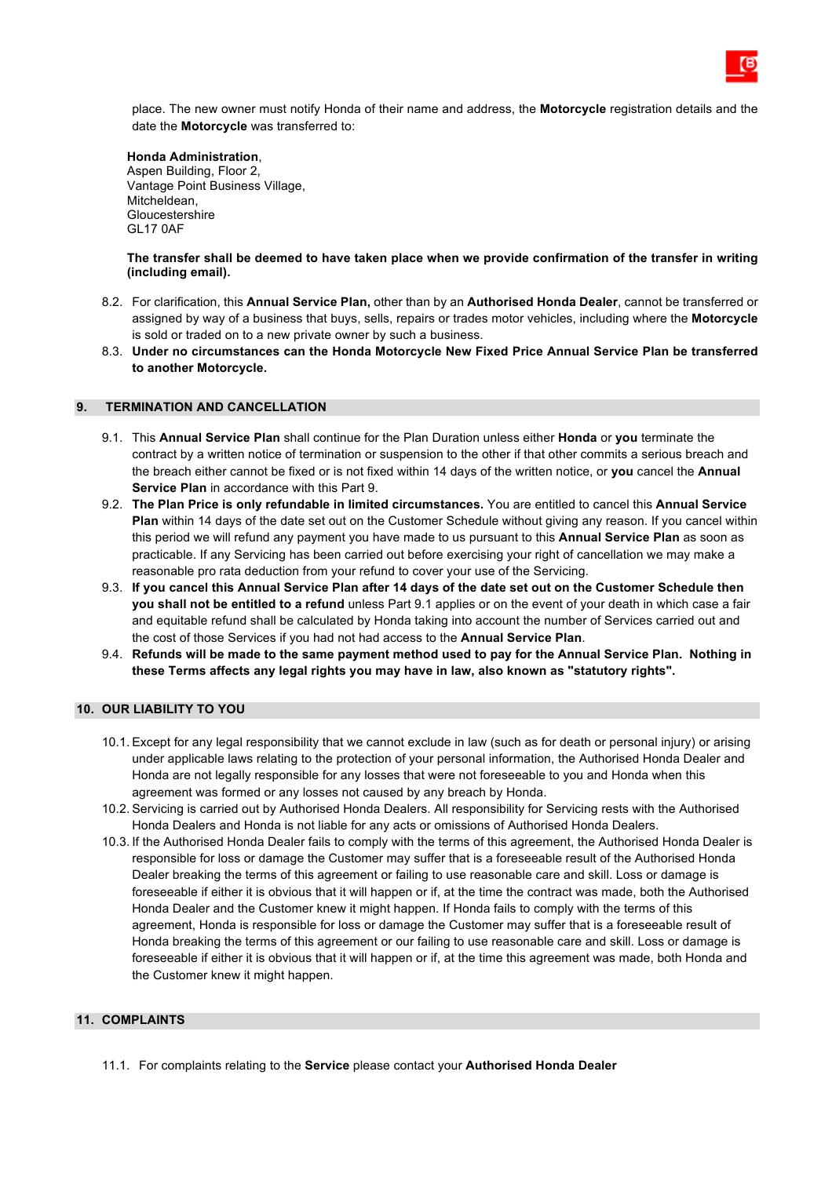place. The new owner must notify Honda of their name and address, the **Motorcycle** registration details and the date the **Motorcycle** was transferred to:

#### **Honda Administration**,

Aspen Building, Floor 2, Vantage Point Business Village, Mitcheldean, Gloucestershire GL17 0AF

**The transfer shall be deemed to have taken place when we provide confirmation of the transfer in writing (including email).**

- 8.2. For clarification, this **Annual Service Plan,** other than by an **Authorised Honda Dealer**, cannot be transferred or assigned by way of a business that buys, sells, repairs or trades motor vehicles, including where the **Motorcycle** is sold or traded on to a new private owner by such a business.
- 8.3. **Under no circumstances can the Honda Motorcycle New Fixed Price Annual Service Plan be transferred to another Motorcycle.**

## **9. TERMINATION AND CANCELLATION**

- 9.1. This **Annual Service Plan** shall continue for the Plan Duration unless either **Honda** or **you** terminate the contract by a written notice of termination or suspension to the other if that other commits a serious breach and the breach either cannot be fixed or is not fixed within 14 days of the written notice, or **you** cancel the **Annual Service Plan** in accordance with this Part 9.
- 9.2. **The Plan Price is only refundable in limited circumstances.** You are entitled to cancel this **Annual Service Plan** within 14 days of the date set out on the Customer Schedule without giving any reason. If you cancel within this period we will refund any payment you have made to us pursuant to this **Annual Service Plan** as soon as practicable. If any Servicing has been carried out before exercising your right of cancellation we may make a reasonable pro rata deduction from your refund to cover your use of the Servicing.
- 9.3. **If you cancel this Annual Service Plan after 14 days of the date set out on the Customer Schedule then you shall not be entitled to a refund** unless Part 9.1 applies or on the event of your death in which case a fair and equitable refund shall be calculated by Honda taking into account the number of Services carried out and the cost of those Services if you had not had access to the **Annual Service Plan**.
- 9.4. **Refunds will be made to the same payment method used to pay for the Annual Service Plan. Nothing in these Terms affects any legal rights you may have in law, also known as "statutory rights".**

# **10. OUR LIABILITY TO YOU**

- 10.1. Except for any legal responsibility that we cannot exclude in law (such as for death or personal injury) or arising under applicable laws relating to the protection of your personal information, the Authorised Honda Dealer and Honda are not legally responsible for any losses that were not foreseeable to you and Honda when this agreement was formed or any losses not caused by any breach by Honda.
- 10.2. Servicing is carried out by Authorised Honda Dealers. All responsibility for Servicing rests with the Authorised Honda Dealers and Honda is not liable for any acts or omissions of Authorised Honda Dealers.
- 10.3. If the Authorised Honda Dealer fails to comply with the terms of this agreement, the Authorised Honda Dealer is responsible for loss or damage the Customer may suffer that is a foreseeable result of the Authorised Honda Dealer breaking the terms of this agreement or failing to use reasonable care and skill. Loss or damage is foreseeable if either it is obvious that it will happen or if, at the time the contract was made, both the Authorised Honda Dealer and the Customer knew it might happen. If Honda fails to comply with the terms of this agreement, Honda is responsible for loss or damage the Customer may suffer that is a foreseeable result of Honda breaking the terms of this agreement or our failing to use reasonable care and skill. Loss or damage is foreseeable if either it is obvious that it will happen or if, at the time this agreement was made, both Honda and the Customer knew it might happen.

## **11. COMPLAINTS**

11.1. For complaints relating to the **Service** please contact your **Authorised Honda Dealer**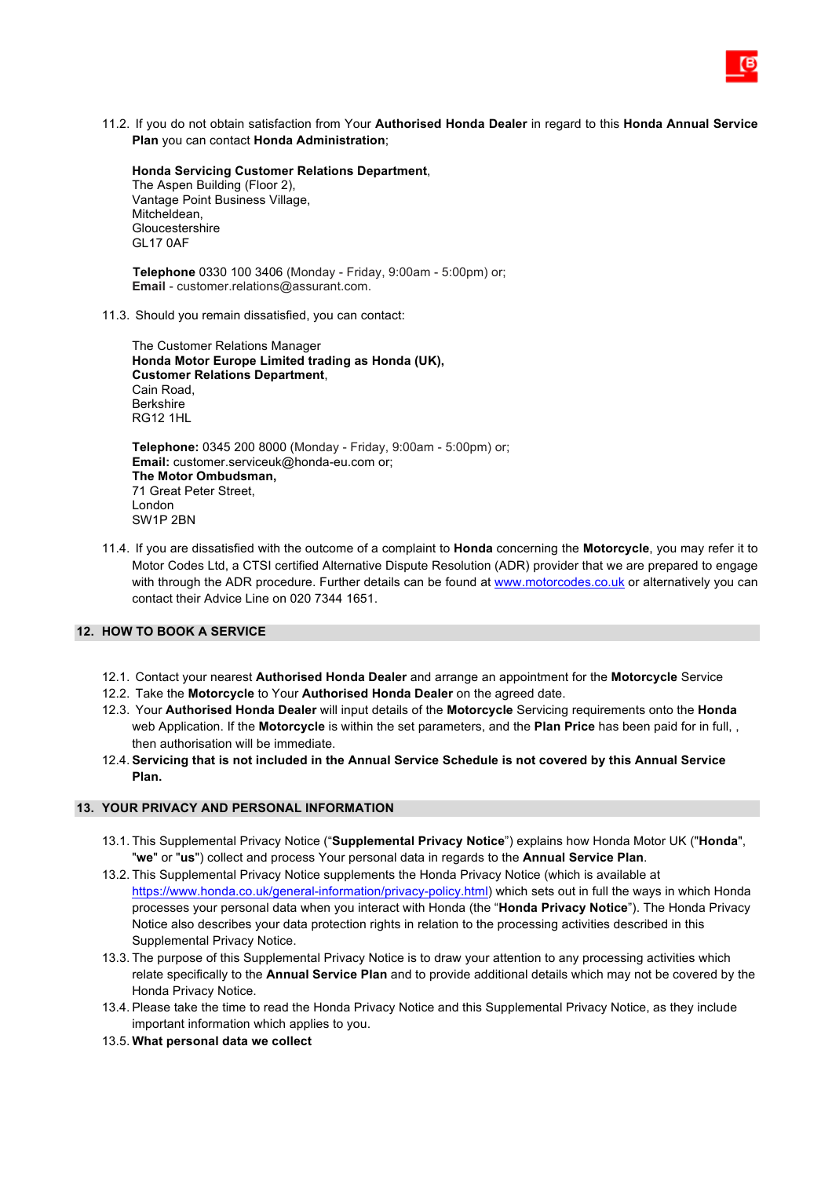11.2. If you do not obtain satisfaction from Your **Authorised Honda Dealer** in regard to this **Honda Annual Service Plan** you can contact **Honda Administration**;

**Honda Servicing Customer Relations Department**, The Aspen Building (Floor 2), Vantage Point Business Village, Mitcheldean, Gloucestershire GL17 0AF

 **Telephone** 0330 100 3406 (Monday - Friday, 9:00am - 5:00pm) or; **Email** - customer.relations@assurant.com.

11.3. Should you remain dissatisfied, you can contact:

The Customer Relations Manager **Honda Motor Europe Limited trading as Honda (UK), Customer Relations Department**, Cain Road, Berkshire RG12 1HL

**Telephone:** 0345 200 8000 (Monday - Friday, 9:00am - 5:00pm) or; **Email:** customer.serviceuk@honda-eu.com or; **The Motor Ombudsman,**  71 Great Peter Street, London SW1P 2BN

11.4. If you are dissatisfied with the outcome of a complaint to **Honda** concerning the **Motorcycle**, you may refer it to Motor Codes Ltd, a CTSI certified Alternative Dispute Resolution (ADR) provider that we are prepared to engage with through the ADR procedure. Further details can be found at www.motorcodes.co.uk or alternatively you can contact their Advice Line on 020 7344 1651.

#### **12. HOW TO BOOK A SERVICE**

- 12.1. Contact your nearest **Authorised Honda Dealer** and arrange an appointment for the **Motorcycle** Service
- 12.2. Take the **Motorcycle** to Your **Authorised Honda Dealer** on the agreed date.
- 12.3. Your **Authorised Honda Dealer** will input details of the **Motorcycle** Servicing requirements onto the **Honda** web Application. If the **Motorcycle** is within the set parameters, and the **Plan Price** has been paid for in full, , then authorisation will be immediate.
- 12.4. **Servicing that is not included in the Annual Service Schedule is not covered by this Annual Service Plan.**

#### **13. YOUR PRIVACY AND PERSONAL INFORMATION**

- 13.1. This Supplemental Privacy Notice ("**Supplemental Privacy Notice**") explains how Honda Motor UK ("**Honda**", "**we**" or "**us**") collect and process Your personal data in regards to the **Annual Service Plan**.
- 13.2. This Supplemental Privacy Notice supplements the Honda Privacy Notice (which is available at https://www.honda.co.uk/general-information/privacy-policy.html) which sets out in full the ways in which Honda processes your personal data when you interact with Honda (the "**Honda Privacy Notice**"). The Honda Privacy Notice also describes your data protection rights in relation to the processing activities described in this Supplemental Privacy Notice.
- 13.3. The purpose of this Supplemental Privacy Notice is to draw your attention to any processing activities which relate specifically to the **Annual Service Plan** and to provide additional details which may not be covered by the Honda Privacy Notice.
- 13.4. Please take the time to read the Honda Privacy Notice and this Supplemental Privacy Notice, as they include important information which applies to you.
- 13.5. **What personal data we collect**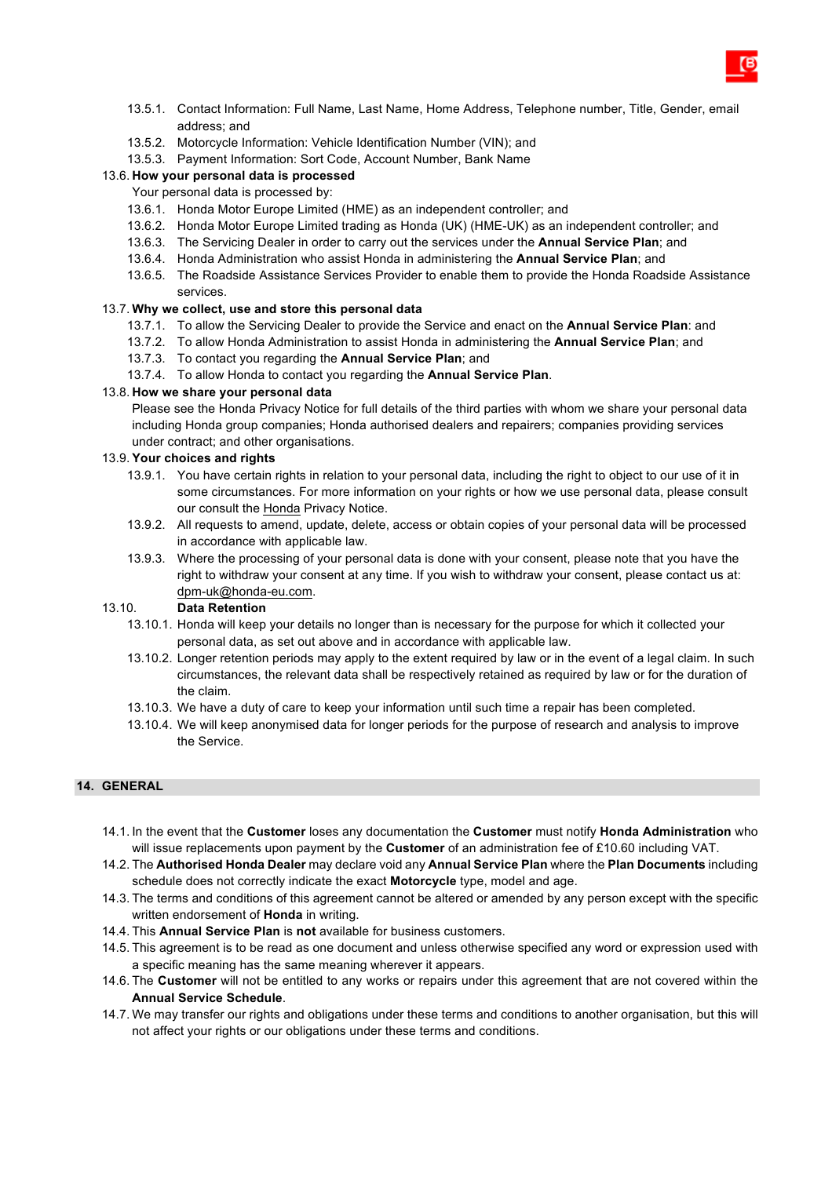- 13.5.1. Contact Information: Full Name, Last Name, Home Address, Telephone number, Title, Gender, email address; and
- 13.5.2. Motorcycle Information: Vehicle Identification Number (VIN); and
- 13.5.3. Payment Information: Sort Code, Account Number, Bank Name

# 13.6. **How your personal data is processed**

- Your personal data is processed by:
- 13.6.1. Honda Motor Europe Limited (HME) as an independent controller; and
- 13.6.2. Honda Motor Europe Limited trading as Honda (UK) (HME-UK) as an independent controller; and
- 13.6.3. The Servicing Dealer in order to carry out the services under the **Annual Service Plan**; and
- 13.6.4. Honda Administration who assist Honda in administering the **Annual Service Plan**; and
- 13.6.5. The Roadside Assistance Services Provider to enable them to provide the Honda Roadside Assistance services.

#### 13.7. **Why we collect, use and store this personal data**

- 13.7.1. To allow the Servicing Dealer to provide the Service and enact on the **Annual Service Plan**: and
- 13.7.2. To allow Honda Administration to assist Honda in administering the **Annual Service Plan**; and
- 13.7.3. To contact you regarding the **Annual Service Plan**; and
- 13.7.4. To allow Honda to contact you regarding the **Annual Service Plan**.

#### 13.8. **How we share your personal data**

Please see the Honda Privacy Notice for full details of the third parties with whom we share your personal data including Honda group companies; Honda authorised dealers and repairers; companies providing services under contract; and other organisations.

#### 13.9. **Your choices and rights**

- 13.9.1. You have certain rights in relation to your personal data, including the right to object to our use of it in some circumstances. For more information on your rights or how we use personal data, please consult our consult the Honda Privacy Notice.
- 13.9.2. All requests to amend, update, delete, access or obtain copies of your personal data will be processed in accordance with applicable law.
- 13.9.3. Where the processing of your personal data is done with your consent, please note that you have the right to withdraw your consent at any time. If you wish to withdraw your consent, please contact us at: dpm-uk@honda-eu.com.

#### 13.10. **Data Retention**

- 13.10.1. Honda will keep your details no longer than is necessary for the purpose for which it collected your personal data, as set out above and in accordance with applicable law.
- 13.10.2. Longer retention periods may apply to the extent required by law or in the event of a legal claim. In such circumstances, the relevant data shall be respectively retained as required by law or for the duration of the claim.
- 13.10.3. We have a duty of care to keep your information until such time a repair has been completed.
- 13.10.4. We will keep anonymised data for longer periods for the purpose of research and analysis to improve the Service.

# **14. GENERAL**

- 14.1. In the event that the **Customer** loses any documentation the **Customer** must notify **Honda Administration** who will issue replacements upon payment by the **Customer** of an administration fee of £10.60 including VAT.
- 14.2. The **Authorised Honda Dealer** may declare void any **Annual Service Plan** where the **Plan Documents** including schedule does not correctly indicate the exact **Motorcycle** type, model and age.
- 14.3. The terms and conditions of this agreement cannot be altered or amended by any person except with the specific written endorsement of **Honda** in writing.
- 14.4. This **Annual Service Plan** is **not** available for business customers.
- 14.5. This agreement is to be read as one document and unless otherwise specified any word or expression used with a specific meaning has the same meaning wherever it appears.
- 14.6. The **Customer** will not be entitled to any works or repairs under this agreement that are not covered within the **Annual Service Schedule**.
- 14.7. We may transfer our rights and obligations under these terms and conditions to another organisation, but this will not affect your rights or our obligations under these terms and conditions.